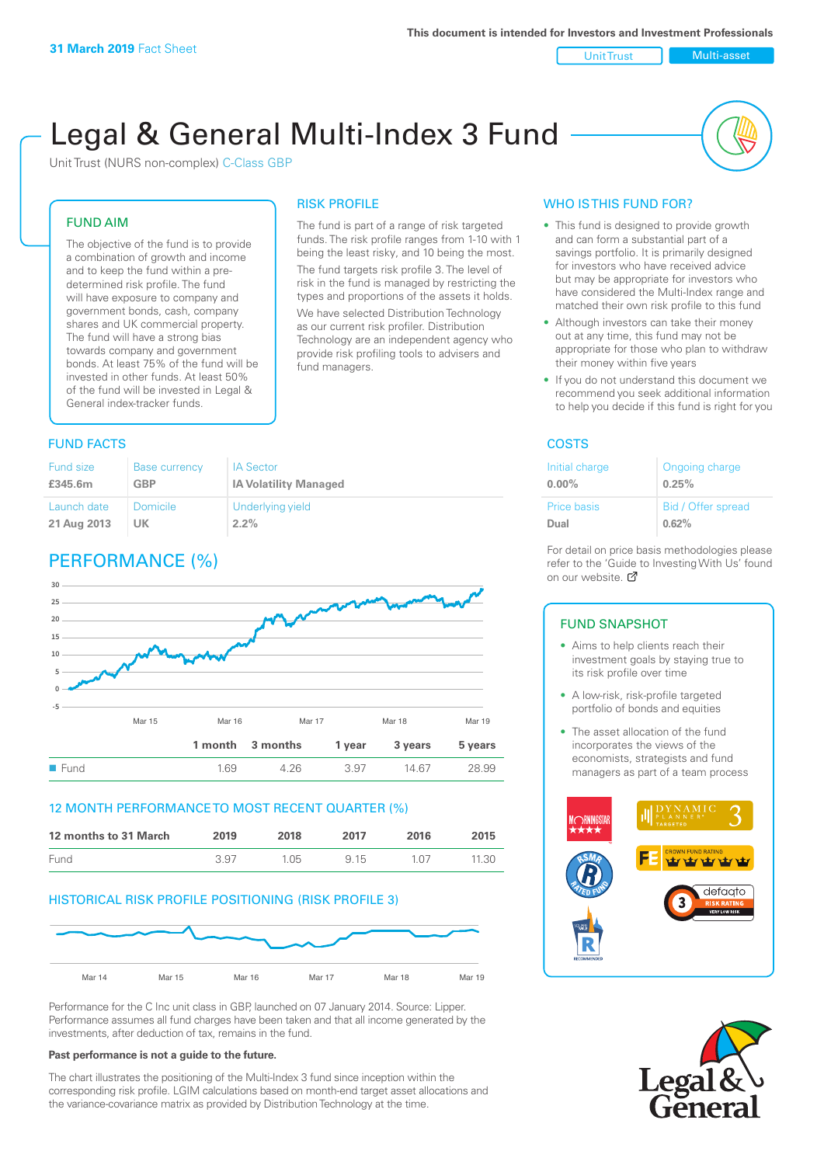Unit Trust Nulti-asset

# Legal & General Multi-Index 3 Fund

RISK PROFILE

fund managers.

The fund is part of a range of risk targeted funds. The risk profile ranges from 1-10 with 1 being the least risky, and 10 being the most. The fund targets risk profile 3. The level of risk in the fund is managed by restricting the types and proportions of the assets it holds. We have selected Distribution Technology as our current risk profiler. Distribution Technology are an independent agency who provide risk profiling tools to advisers and

Unit Trust (NURS non-complex) C-Class GBP

#### FUND AIM

The objective of the fund is to provide a combination of growth and income and to keep the fund within a predetermined risk profile. The fund will have exposure to company and government bonds, cash, company shares and UK commercial property. The fund will have a strong bias towards company and government bonds. At least 75% of the fund will be invested in other funds. At least 50% of the fund will be invested in Legal & General index-tracker funds.

### **FUND FACTS** COSTS

| Fund size   | <b>Base currency</b> | <b>IA Sector</b>             |
|-------------|----------------------|------------------------------|
| £345.6m     | <b>GBP</b>           | <b>IA Volatility Managed</b> |
| Launch date | <b>Domicile</b>      | Underlying yield             |
| 21 Aug 2013 | UK.                  | $2.2\%$                      |

## PERFORMANCE (%)



#### 12 MONTH PERFORMANCE TO MOST RECENT QUARTER (%)

| 12 months to 31 March | 2019 | 2018 | 2017 | 2016            | 2015  |
|-----------------------|------|------|------|-----------------|-------|
| Fund                  | 3.97 | 1.05 | 915  | 1 <sub>07</sub> | 11.30 |

#### HISTORICAL RISK PROFILE POSITIONING (RISK PROFILE 3)



Performance for the C Inc unit class in GBP, launched on 07 January 2014. Source: Lipper. Performance assumes all fund charges have been taken and that all income generated by the investments, after deduction of tax, remains in the fund.

#### **Past performance is not a guide to the future.**

The chart illustrates the positioning of the Multi-Index 3 fund since inception within the corresponding risk profile. LGIM calculations based on month-end target asset allocations and the variance-covariance matrix as provided by Distribution Technology at the time.

## WHO IS THIS FUND FOR?

- This fund is designed to provide growth and can form a substantial part of a savings portfolio. It is primarily designed for investors who have received advice but may be appropriate for investors who have considered the Multi-Index range and matched their own risk profile to this fund
- Although investors can take their money out at any time, this fund may not be appropriate for those who plan to withdraw their money within five years
- If you do not understand this document we recommend you seek additional information to help you decide if this fund is right for you

| Initial charge     | Ongoing charge     |
|--------------------|--------------------|
| $0.00\%$           | 0.25%              |
| <b>Price basis</b> | Bid / Offer spread |
| Dual               | 0.62%              |

For detail on price basis methodologies please refer to the 'Gu[ide t](http://www.legalandgeneral.com/guide)o Investing With Us' found on our website. *C* 

#### FUND SNAPSHOT

- Aims to help clients reach their investment goals by staying true to its risk profile over time
- A low-risk, risk-profile targeted portfolio of bonds and equities
- The asset allocation of the fund incorporates the views of the economists, strategists and fund managers as part of a team process



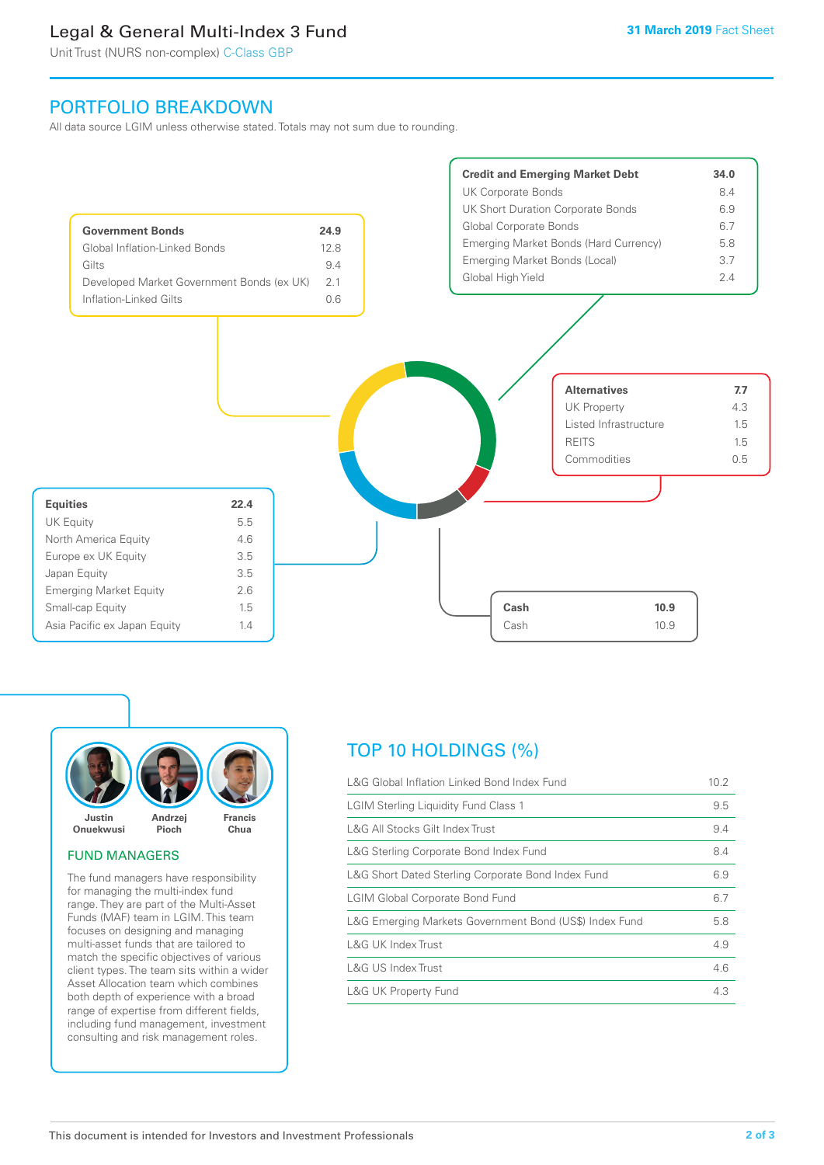## Legal & General Multi-Index 3 Fund

Unit Trust (NURS non-complex) C-Class GBP

## PORTFOLIO BREAKDOWN

All data source LGIM unless otherwise stated. Totals may not sum due to rounding.





#### FUND MANAGERS

The fund managers have responsibility for managing the multi-index fund range. They are part of the Multi-Asset Funds (MAF) team in LGIM. This team focuses on designing and managing multi-asset funds that are tailored to match the specific objectives of various client types. The team sits within a wider Asset Allocation team which combines both depth of experience with a broad range of expertise from different fields, including fund management, investment consulting and risk management roles.

## TOP 10 HOLDINGS (%)

| L&G Global Inflation Linked Bond Index Fund            | 10.2 |
|--------------------------------------------------------|------|
| <b>LGIM Sterling Liquidity Fund Class 1</b>            | 9.5  |
| L&G All Stocks Gilt Index Trust                        | 9.4  |
| L&G Sterling Corporate Bond Index Fund                 | 8.4  |
| L&G Short Dated Sterling Corporate Bond Index Fund     | 6.9  |
| <b>LGIM Global Corporate Bond Fund</b>                 | 6.7  |
| L&G Emerging Markets Government Bond (US\$) Index Fund | 5.8  |
| L&G UK Index Trust                                     | 4.9  |
| L&G US Index Trust                                     | 4.6  |
| <b>L&amp;G UK Property Fund</b>                        | 4.3  |